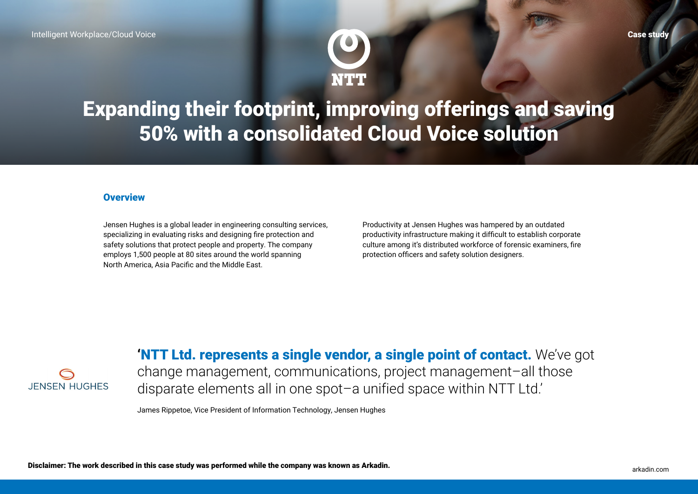

Expanding their footprint, improving offerings and saving 50% with a consolidated Cloud Voice solution

#### **Overview**

Jensen Hughes is a global leader in engineering consulting services, specializing in evaluating risks and designing fire protection and safety solutions that protect people and property. The company employs 1,500 people at 80 sites around the world spanning North America, Asia Pacific and the Middle East.

Productivity at Jensen Hughes was hampered by an outdated productivity infrastructure making it difficult to establish corporate culture among it's distributed workforce of forensic examiners, fire protection officers and safety solution designers.



'NTT Ltd. represents a single vendor, a single point of contact. We've got

change management, communications, project management–all those disparate elements all in one spot–a unified space within NTT Ltd.'

James Rippetoe, Vice President of Information Technology, Jensen Hughes